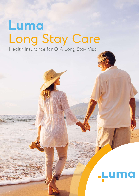# **Luma** Long Stay Care Health Insurance for O-A Long Stay Visa

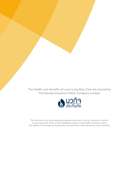The health care benefits of Luma Long Stay Care are insured by The Navakij Insurance Public Company Limited.



This brochure is for informational purposes only and is not an insurance contract. "Luma Long Stay Care" is the marketing name for the health insurance policy. Full details of coverage and exclusions are specified in the insurance policy wording.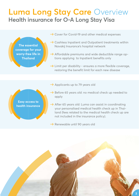### **Luma Long Stay Care** Overview **Health insurance for O-A Long Stay Visa**

The essential **The essential**  coverage for your **coverage for your**  worry-free life in **worry-free life in**  Thailand **Thailand**

- $\rightarrow$  Cover for Covid-19 and other medical expenses
- $\rightarrow$  Cashless Inpatient and Outpatient treatments within Navakij Insurance's hospital network
- $\rightarrow$  Affordable premiums and wide deductible range options applying to Inpatient benefits only
- $\rightarrow$  Limit per disability ensures a more flexible coverage, restoring the benefit limit for each new disease

Easy access to **Easy access to**  health insurance **health insurance**

- $\rightarrow$  Applicants up to 79 years old
- $\rightarrow$  Before 65 years old: no medical check up needed to apply
- $\rightarrow$  After 65 years old: Luma can assist in coordinating your personalised medical health check up in Thailand (fees related to the medical health check up are not included in the insurance policy).
- $\rightarrow$  Renewable until 90 years old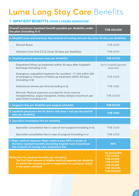## **Luma Long Stay Care** Benefits

#### **1. INPATIENT BENEFITS (OVER 6 HOURS ADMISSION)**

| Overall maximum Inpatient benefit payable per disability under<br>the plan (including in 1)                                                                                                                                   | <b>THB 450,000</b>                                                                                                                            |  |  |  |  |  |  |
|-------------------------------------------------------------------------------------------------------------------------------------------------------------------------------------------------------------------------------|-----------------------------------------------------------------------------------------------------------------------------------------------|--|--|--|--|--|--|
| a. Hospital room and board per day inclusive of nursing care per day (max 60 days per disability)                                                                                                                             |                                                                                                                                               |  |  |  |  |  |  |
| <b>Normal Room</b>                                                                                                                                                                                                            | <b>THB 2,000</b>                                                                                                                              |  |  |  |  |  |  |
| Intensive Care Unit (I.C.U.) (max 30 days per disability)                                                                                                                                                                     | <b>THB 4,000</b>                                                                                                                              |  |  |  |  |  |  |
| b. Hospital general expenses (max per disability)                                                                                                                                                                             | <b>THB 50,000</b>                                                                                                                             |  |  |  |  |  |  |
| Outpatient follow-up treatment within 30 days after hospital's<br>discharge (including in b)                                                                                                                                  | Up to hospital general<br>expenses                                                                                                            |  |  |  |  |  |  |
| Emergency outpatient treatment for accident - 1 <sup>st</sup> visit within 24h<br>of emergency inclusive of follow up treatment within 30 days<br>(including in b)                                                            | <b>THB 4,000</b>                                                                                                                              |  |  |  |  |  |  |
| Ambulance service per time (including in b)                                                                                                                                                                                   | <b>THB 1,500</b>                                                                                                                              |  |  |  |  |  |  |
| Remark: Medical expenses provided for bone marrow<br>transplantation, organ transplant, kidney dialysis (maximum per<br>year) (limit including in b)                                                                          | THB 20,000                                                                                                                                    |  |  |  |  |  |  |
| c. Surgeon's fees per disability (per surgical schedule)                                                                                                                                                                      | <b>THB 50,000</b>                                                                                                                             |  |  |  |  |  |  |
| d. Inpatient physician's fee for doctor visit (max 1 visit per day and 60<br>days per disability)                                                                                                                             | <b>THB 1,000</b>                                                                                                                              |  |  |  |  |  |  |
| e. Specialist consultation fee per disability                                                                                                                                                                                 |                                                                                                                                               |  |  |  |  |  |  |
| Specialist consultation fee in case of non-surgical (including in b)                                                                                                                                                          | <b>THB 3,000</b>                                                                                                                              |  |  |  |  |  |  |
| Specialist consultation fee in case of surgical (including in c)                                                                                                                                                              | <b>THB 4,000</b>                                                                                                                              |  |  |  |  |  |  |
| f. Major medical expenses: Major medical pays 90% in excess of<br>the basic inpatient benefits (excluding hospital room & board per<br>day inclusive of nursing care, ambulance fee)                                          | 90%                                                                                                                                           |  |  |  |  |  |  |
| <b>Deductible for Inpatient Benefits (per disability)</b><br>The first fixed amount of eligible medical expenses per disability<br>for which the covered person is responsible for paying as stated<br>in the policy schedule | No deductible<br><b>THB 20,000</b><br><b>THB 40,000</b><br><b>THB 60,000</b><br><b>THB 80,000</b><br><b>THB 100,000</b><br><b>THB 200,000</b> |  |  |  |  |  |  |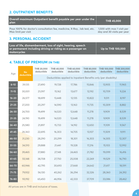#### **2. OUTPATIENT BENEFITS**

|                     | Overall maximum Outpatient benefit payable per year under the<br>plan    | <b>THB 45,000</b>                                        |  |
|---------------------|--------------------------------------------------------------------------|----------------------------------------------------------|--|
| Max limit per visit | Pays 100% for doctor's consultation fee, medicine, X-Ray, lab test, etc. | 1,500 with max 1 visit per<br>day and 30 visits per year |  |

#### **3. PERSONAL ACCIDENT**

**Loss of life, dismemberment, loss of sight, hearing, speech or permanent including driving or riding as a passenger on motorcycles** 

**Up to THB 100,000**

#### **4. TABLE OF PREMIUM (IN THB)**

| Age                | <b>No</b><br>deductible | <b>THB 20,000</b><br>deductible                                 | <b>THB 40,000</b><br>deductible | <b>THB 60,000</b><br>deductible | <b>THB 80,000</b><br>deductible | <b>THB 100,000</b><br>deductible | <b>THB 200,000</b><br>deductible |
|--------------------|-------------------------|-----------------------------------------------------------------|---------------------------------|---------------------------------|---------------------------------|----------------------------------|----------------------------------|
|                    |                         | Deductibles applied to Inpatient Benefits only (per disability) |                                 |                                 |                                 |                                  |                                  |
| $6 - 10$           | 39,135                  | 27,490                                                          | 19,728                          | 17,786                          | 15,846                          | 13,905                           | 11,965                           |
| $11 - 15$          | 30,001                  | 21,097                                                          | 15,162                          | 13,677                          | 12,192                          | 10,709                           | 9,224                            |
| $16 - 20$          | 26,577                  | 18,699                                                          | 13,448                          | 12,135                          | 10,822                          | 9,511                            | 8,197                            |
| $21 - 25$          | 27,200                  | 20,297                                                          | 14,590                          | 13,163                          | 11,735                          | 10,309                           | 8,882                            |
| $26 - 30$          | 24,700                  | 19,499                                                          | 14,020                          | 12,648                          | 11,278                          | 9,909                            | 8,539                            |
| $31 - 35$          | 24,190                  | 19,499                                                          | 14,020                          | 12,648                          | 11,278                          | 9,909                            | 8,539                            |
| $36 - 40$          | 25,580                  | 21,897                                                          | 15,733                          | 14,192                          | 12,650                          | 11,109                           | 9,567                            |
| $41 - 45$          | 28,360                  | 22,695                                                          | 16,303                          | 14,705                          | 13,107                          | 11,509                           | 9,911                            |
| 46-50              | 31,230                  | 28,290                                                          | 20,299                          | 18,301                          | 16,303                          | 14,305                           | 12,307                           |
| $51 - 55$          | 34,510                  | 29,888                                                          | 21,441                          | 19,328                          | 17,216                          | 15,103                           | 12,992                           |
| $\overline{56-60}$ | 39,465                  | 37,880                                                          | 27,148                          | 24,465                          | 21,782                          | 19,099                           | 16,416                           |
| $61 - 65$          | 55,148                  | 38,708                                                          | 27,750                          | 25,008                          | 22,269                          | 19,529                           | 16,790                           |
| 66-70              | 60,946                  | 42,795                                                          | 30,693                          | 27,668                          | 24,642                          | 21,617                           | 18,591                           |
| $71 - 75$          | 79,932                  | 56,130                                                          | 40,262                          | 36,294                          | 32,326                          | 28,360                           | 24,392                           |
| 76-80              | 93,192                  | 65,450                                                          | 46,956                          | 42,333                          | 37,709                          | 33,086                           | 28,462                           |

All prices are in THB and inclusive of taxes.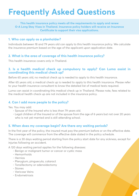## **Frequently Asked Questions**

**This health insurance policy meets all the requirements to apply and renew O-A Long Stay Visas in Thailand. Insurance policy holders will receive an Insurance Certificate to support their visa applications.**

#### **1. Who can apply as a planholder?**

Individuals between 18 and 79 years old can apply to this health insurance policy. We calculate the insurance premium based on the age of the applicant upon application date.

#### **2. What is the area of coverage of this health insurance policy?**

This health insurance covers only in Thailand.

#### **3. Is a health medical check up compulsory to apply? Can Luma assist in coordinating this medical check up?**

Before 65 years old, no medical check up is needed to apply to this health insurance.

After 65 years old, a medical check up is needed to apply to this health insurance. Please refer to your health insurance consultant to know the detailed list of medical tests required.

Luma can assist in coordinating this medical check up in Thailand. Please note, fees related to the medical health check up are not included in the insurance policy.

#### **4. Can I add more people to the policy?**

Yes. You may add:

- Spouse of the Insured who is less than 79 years old.
- Legal children of the Insured or of the spouse from the age of 6 years but not over 20 years who is not yet married and is still attending school.

#### **5. When does my coverage begin? Are there any waiting periods?**

In the first year of the policy, the insured must pay the premium before or on the effective date. The coverage will commence from the effective date stated in the policy schedule.

There is a 30 days waiting period starting from the policy start date for any sickness, except for injuries following an accident.

A 120 days waiting period applies for the following diseases:

- Benign or malignant tumor or cancer or cystic mass
- Hemorrhoids
- Hernias
- Pterygium, pinguecula, cataract
- Tonsillectomy or adenoidectomy
- Stones
- Varicose Veins
- Endometriosis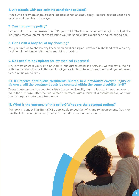#### **6. Are people with pre-existing conditions covered?**

Those who are aware of pre-existing medical conditions may apply - but pre-existing conditions may be excluded from coverage.

#### **7. Can I renew my policy?**

Yes, our plans can be renewed until 90 years old. The insurer reserves the right to adjust the insurance renewal premium according to your personal claim experience and increasing age.

#### **8. Can I visit a hospital of my choosing?**

Yes, you are free to choose any licensed medical or surgical provider in Thailand excluding any traditional medicine or alternative medicine provider.

#### **9. Do I need to pay upfront for my medical expenses?**

No, in most cases if you visit a hospital in our vast direct billing network, we will settle the bill with the hospital directly. In the event that you visit a hospital outside our network, you will need to submit us your claims.

#### **10. If I receive continuous treatments related to a previously covered injury or sickness, will the treatment costs be counted within the same disability limit?**

These treatments will be counted within the same disability limit, unless such treatments occur more than 90 days after the last related treatment date in case of a hospitalisation, or more than 14 days for outpatient treatments.

#### **11. What is the currency of this policy? What are the payment options?**

This policy is under Thai Baht (THB), applicable to both benefits and reimbursements. You may pay the full annual premium by bank transfer, debit card or credit card.